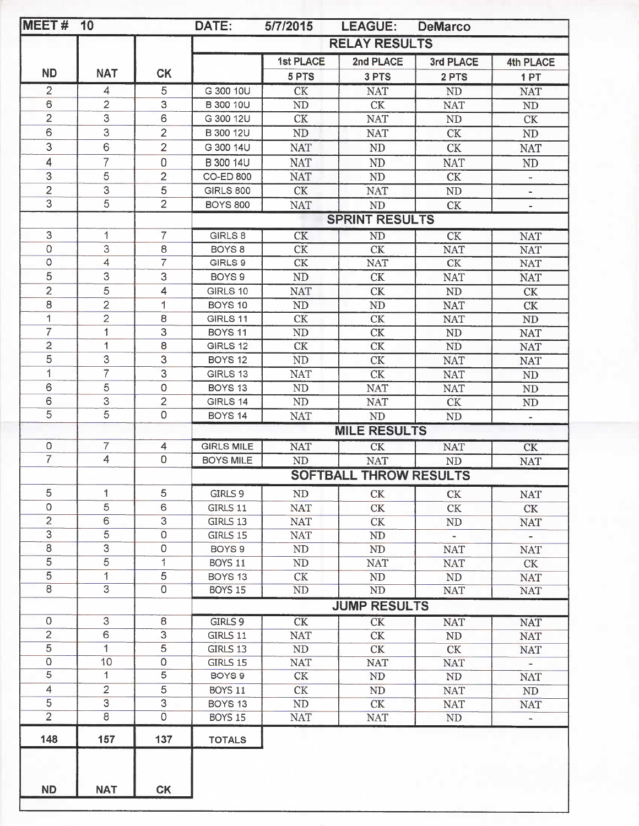| MEET#               | 10             |                     | DATE:              | 5/7/2015       | <b>LEAGUE:</b>                | <b>DeMarco</b>           |                          |
|---------------------|----------------|---------------------|--------------------|----------------|-------------------------------|--------------------------|--------------------------|
|                     |                |                     |                    |                | <b>RELAY RESULTS</b>          |                          |                          |
|                     |                |                     |                    | 1st PLACE      | 2nd PLACE                     | 3rd PLACE                | <b>4th PLACE</b>         |
| <b>ND</b>           | <b>NAT</b>     | <b>CK</b>           |                    | 5 PTS          | 3 PTS                         | 2 PTS                    | 1PT                      |
| $\overline{2}$      | 4              | 5                   | G 300 10U          | <b>CK</b>      | <b>NAT</b>                    | ND                       | <b>NAT</b>               |
| 6                   | $\overline{2}$ | 3                   | B 300 10U          | ND             | <b>CK</b>                     | <b>NAT</b>               | $\rm ND$                 |
| $\overline{2}$      | 3              | 6                   | G 300 12U          | CK             | <b>NAT</b>                    | ${\rm ND}$               | CK                       |
| 6                   | 3              | $\overline{2}$      | B 300 12U          | $\rm ND$       | <b>NAT</b>                    | CK                       | ND                       |
| 3                   | 6              | $\overline{2}$      | G 300 14U          | <b>NAT</b>     | <b>ND</b>                     | <b>CK</b>                | <b>NAT</b>               |
| 4                   | $\overline{7}$ | $\overline{0}$      | B 300 14U          | <b>NAT</b>     | <b>ND</b>                     | <b>NAT</b>               | ND                       |
| 3                   | 5              | $\overline{2}$      | <b>CO-ED 800</b>   | <b>NAT</b>     | <b>ND</b>                     | CK                       | $\overline{\phantom{0}}$ |
| $\overline{2}$      | 3              | 5                   | <b>GIRLS 800</b>   | <b>CK</b>      | <b>NAT</b>                    | ND                       | ÷,                       |
| $\overline{3}$      | $\overline{5}$ | $\overline{2}$      | <b>BOYS 800</b>    | <b>NAT</b>     | ND                            | CK                       |                          |
|                     |                |                     |                    |                | <b>SPRINT RESULTS</b>         |                          |                          |
| 3                   | 1              | 7                   | GIRLS 8            | CK             | <b>ND</b>                     | <b>CK</b>                | <b>NAT</b>               |
| 0                   | 3              | 8                   | BOYS <sub>8</sub>  | CK             | <b>CK</b>                     | <b>NAT</b>               | <b>NAT</b>               |
| $\circ$             | $\overline{4}$ | $\overline{7}$      | GIRLS 9            | CK             | <b>NAT</b>                    | CK                       | <b>NAT</b>               |
| 5                   | 3              | 3                   | BOYS <sub>9</sub>  | ND             | CK                            | <b>NAT</b>               | <b>NAT</b>               |
| $\overline{2}$      | $\overline{5}$ | 4                   | GIRLS 10           | <b>NAT</b>     | <b>CK</b>                     | $\rm ND$                 | CK                       |
| 8                   | $\overline{2}$ | 1                   | BOYS <sub>10</sub> | N <sub>D</sub> | ND                            | <b>NAT</b>               | CK                       |
| $\overline{1}$      | $\overline{2}$ | 8                   | GIRLS 11           | CK             | CK                            | <b>NAT</b>               | ${\rm ND}$               |
| $\overline{7}$      | 1              | 3                   | BOYS <sub>11</sub> | ND             | CK                            | ND                       | <b>NAT</b>               |
| $\overline{c}$      | 1              | 8                   | GIRLS 12           | $\mathrm{CK}$  | CK                            | $\rm ND$                 | <b>NAT</b>               |
| $\overline{5}$      | 3              | 3                   | BOYS <sub>12</sub> | N <sub>D</sub> | <b>CK</b>                     | <b>NAT</b>               | <b>NAT</b>               |
| 1                   | $\overline{7}$ | 3                   | GIRLS 13           | <b>NAT</b>     | CK                            | <b>NAT</b>               | ND                       |
| 6                   | 5              | $\mathsf O$         | BOYS <sub>13</sub> | ND             | <b>NAT</b>                    | <b>NAT</b>               | $\rm ND$                 |
| 6                   | 3              | $\overline{2}$      | GIRLS 14           | ${\rm ND}$     | <b>NAT</b>                    | CK                       | $\rm ND$                 |
| $\overline{5}$      | $\overline{5}$ | $\mathbf 0$         | BOYS <sub>14</sub> | <b>NAT</b>     | ND                            | ND                       | $\overline{\phantom{a}}$ |
|                     |                |                     |                    |                | <b>MILE RESULTS</b>           |                          |                          |
| $\mathsf{O}\xspace$ | 7              | $\overline{4}$      | <b>GIRLS MILE</b>  | <b>NAT</b>     | CK                            | <b>NAT</b>               | $\overline{\text{CK}}$   |
| $\overline{7}$      | $\overline{4}$ | $\overline{0}$      | <b>BOYS MILE</b>   | <b>ND</b>      | <b>NAT</b>                    | ND                       | <b>NAT</b>               |
|                     |                |                     |                    |                | <b>SOFTBALL THROW RESULTS</b> |                          |                          |
| 5                   | 1              | 5                   | GIRLS 9            | ND             | CK                            | CK                       | <b>NAT</b>               |
| 0                   | 5              | 6                   | GIRLS 11           | <b>NAT</b>     | CK                            | CK                       | CK                       |
| $\overline{c}$      | 6              | 3                   | GIRLS 13           | <b>NAT</b>     | CK                            | ND                       | <b>NAT</b>               |
| $\overline{3}$      | $\overline{5}$ | $\mathsf O$         | GIRLS 15           | <b>NAT</b>     | ND                            | $\overline{\phantom{0}}$ |                          |
| $\,8\,$             | 3              | $\mathsf O$         | BOYS <sub>9</sub>  | $\rm ND$       | $\rm ND$                      | <b>NAT</b>               | <b>NAT</b>               |
| 5                   | $\overline{5}$ | 1                   | BOYS 11            | $\rm ND$       | <b>NAT</b>                    | <b>NAT</b>               | CK                       |
| 5                   | 1              | 5                   | BOYS <sub>13</sub> | CK             | ND                            | <b>ND</b>                | <b>NAT</b>               |
| $\overline{8}$      | $\overline{3}$ | 0                   | <b>BOYS 15</b>     | ND             | <b>ND</b>                     | <b>NAT</b>               | <b>NAT</b>               |
|                     |                |                     |                    |                | <b>JUMP RESULTS</b>           |                          |                          |
| $\mathbf 0$         | 3              | 8                   | GIRLS 9            | CK             | $\overline{\text{CK}}$        | <b>NAT</b>               | <b>NAT</b>               |
| $\overline{2}$      | 6              | 3                   | GIRLS 11           | <b>NAT</b>     | CK                            | ND                       | <b>NAT</b>               |
| $\overline{5}$      | 1              | 5                   | GIRLS 13           | ND             | CK                            | CK                       | <b>NAT</b>               |
| $\mathsf 0$         | 10             | $\mathsf{O}\xspace$ | GIRLS 15           | <b>NAT</b>     | <b>NAT</b>                    | <b>NAT</b>               | u,                       |
| 5                   | 1              | 5                   | BOYS 9             | CK             | ND                            | ND                       | <b>NAT</b>               |
| 4                   | $\overline{2}$ | 5                   | BOYS 11            | CK             | ND                            | <b>NAT</b>               | $\rm ND$                 |
| 5                   | 3              | $\overline{3}$      | BOYS <sub>13</sub> | ND             | CK                            | <b>NAT</b>               | <b>NAT</b>               |
| $\overline{2}$      | $\overline{8}$ | $\circ$             | BOYS 15            | <b>NAT</b>     | <b>NAT</b>                    | ND                       | $\overline{\phantom{a}}$ |
| 148                 | 157            | 137                 | <b>TOTALS</b>      |                |                               |                          |                          |
|                     |                |                     |                    |                |                               |                          |                          |
|                     |                |                     |                    |                |                               |                          |                          |
| <b>ND</b>           | <b>NAT</b>     | <b>CK</b>           |                    |                |                               |                          |                          |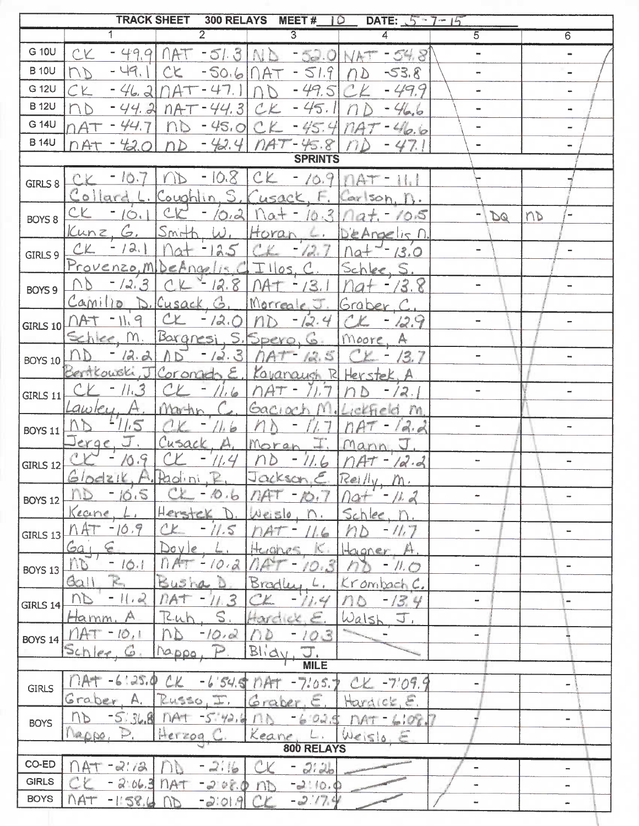|                   |                                                                                  |                             |                                                                                       | TRACK SHEET 300 RELAYS MEET # 10 DATE: 5-7-15 |                          |                                     |
|-------------------|----------------------------------------------------------------------------------|-----------------------------|---------------------------------------------------------------------------------------|-----------------------------------------------|--------------------------|-------------------------------------|
|                   | $\overline{1}$                                                                   | $\overline{2}$              | $\overline{3}$                                                                        | $\overline{4}$                                | $\overline{5}$           | $\overline{6}$                      |
| G 10U             | CK                                                                               |                             |                                                                                       | $-49.9$ $14T - 51.3$ $ND - 52.0$ $NAT - 54.8$ |                          |                                     |
| <b>B</b> 10U      | $-49.11$<br>UD                                                                   | CE                          | $-50.6$ $\bigcap AT - 51.9$                                                           | $-53.8$<br>UD                                 |                          |                                     |
| G 12U             | CK                                                                               | $-46.2$ $nA+47.11$ $nD$     | $-49.5$                                                                               | $-49.9$<br>C E                                |                          |                                     |
| <b>B</b> 12U      | ND                                                                               | $-44.2$ $nAT - 44.3$ CK     | $-45.1$                                                                               | $-46.6$                                       |                          |                                     |
| G 14U             |                                                                                  | $-44.7$ $nb - 45.0$ $c$ $K$ | $-45.4$                                                                               | $MAT-46.6$                                    |                          |                                     |
| <b>B</b> 14U      | MAT                                                                              |                             | $-72.01$ $nD - 42.41$ $nAT - 45.81$                                                   | $-47.1$                                       |                          |                                     |
|                   |                                                                                  |                             | <b>SPRINTS</b>                                                                        |                                               |                          |                                     |
| GIRLS $8$         |                                                                                  |                             | $CK - 10.7/ND - 10.8$ $CK - 10.9/NAT - 11.1$                                          |                                               |                          |                                     |
|                   |                                                                                  |                             | Collard L. Coughlin, S. Cusack, F. Carlson, n.                                        |                                               |                          |                                     |
| BOYS <sub>8</sub> | $c\epsilon$<br>10.1                                                              |                             |                                                                                       | $-10.2$ nat - 10.3 nat - 10.5                 | DQ                       | $\overline{\phantom{m}}$<br>$n_{D}$ |
|                   |                                                                                  |                             | Kunz, G. Smith, W. Horan L. DeAngelis n                                               |                                               |                          |                                     |
| GIRLS9            | $CL - 12.1$                                                                      | nat<br>$-125$               |                                                                                       | $CK = 12.7$ $\Gamma$                          |                          | $\overline{\phantom{a}}$            |
|                   |                                                                                  |                             | Provenzo, MibeAngelis CIIIlos, C. Schlee, S.                                          |                                               |                          |                                     |
| BOYS 9            |                                                                                  | ND -12.3 CK -12.8 NAT -13.1 |                                                                                       | $104 - 13.8$                                  |                          |                                     |
|                   |                                                                                  |                             | Camilio D. Cusack, G. Morreale, J. Graber, C.                                         |                                               |                          |                                     |
|                   | GIRLS 10 $\bigcap$ AT -11.9 $\bigcup$ CK -12.0 $\bigcap$ D -12.4 $\bigcup$ -12.9 |                             |                                                                                       |                                               |                          |                                     |
|                   |                                                                                  |                             | <u>Echice</u> , M. Bargnesi, S. Spero, G. Moore, A.                                   |                                               |                          |                                     |
| <b>BOYS 10</b>    |                                                                                  |                             | $ND - 12.211D - 12.311A + 12.5$                                                       | $CK - 13.7$                                   |                          |                                     |
|                   |                                                                                  |                             | Bertkowski, J Coronado E., Kavanaugh R Herstek, A.                                    |                                               |                          |                                     |
| <b>GIRLS 11</b>   | $-11.3$<br>CY                                                                    | $CL - 11.6$                 | $\Lambda A T = 71.7$                                                                  | AD<br>12.1                                    |                          |                                     |
|                   |                                                                                  |                             | Lawley, A. Martin, C. Gaciach M. Lickfield m.<br>ND -11.5 CK -11.6 ND - 11.7 NAT-12.2 |                                               |                          |                                     |
| <b>BOYS 11</b>    |                                                                                  | 166                         | Jerge, J. Cusack, A. Moran I. Mann, J.                                                | $-19.4$                                       | $\overline{\phantom{a}}$ | $\overline{\phantom{a}}$            |
|                   | $CC - 10.9$                                                                      |                             | $CK - 11.4 nb - 11.6 $                                                                | $nAT - 12.2$                                  | L.                       |                                     |
| GIRLS 12          | Glodelk, A. Paolini, P. Jackson, E. Reilly, M.                                   |                             |                                                                                       |                                               |                          |                                     |
|                   | 10.5<br>ne                                                                       | $\bigcirc$<br>16            |                                                                                       |                                               | ÷                        | -                                   |
| <b>BOYS 12</b>    | Keane                                                                            | Herstek                     | $A$ ei                                                                                | Sch                                           |                          |                                     |
| GIRLS 13          | 10.9                                                                             | 1.5                         |                                                                                       |                                               |                          | $\overline{\phantom{0}}$            |
|                   | Ga                                                                               | Da v<br>10                  | $+e$                                                                                  | bane                                          |                          |                                     |
| BOYS 13           | nt<br>10.1                                                                       | $Q \cdot d$                 |                                                                                       | //,                                           |                          | -                                   |
|                   | F.<br>60                                                                         |                             | Brad                                                                                  | Kronback                                      |                          |                                     |
| GIRLS 14          | $\lfloor \cdot \cdot \cdot \rfloor$<br>UP                                        | <b>TIA</b>                  |                                                                                       | 13.4                                          | ۰.                       | -                                   |
|                   | Hamm                                                                             | $\mathsf S$<br>Ru           | Hourd ex                                                                              | Wals<br>J,                                    |                          |                                     |
| <b>BOYS 14</b>    | ÷<br>10.1                                                                        | 10.2                        | $Q$ $\tilde{S}$<br>D                                                                  |                                               | $\blacksquare$           |                                     |
|                   | $\mathcal{C}$<br>36h                                                             | 0.000                       | Blid                                                                                  |                                               |                          |                                     |
|                   |                                                                                  |                             | <b>MILE</b>                                                                           |                                               |                          |                                     |
| <b>GIRLS</b>      | 61.25.0                                                                          | 54.5                        | 7.05.7<br><b>MAT</b>                                                                  | $c \times$<br>$-7.09.9$                       | $\qquad \qquad -$        | -                                   |
|                   | Graber<br>A,                                                                     | RUSSO,                      | Graper                                                                                | $c_{k}^{lc}$ , $\varepsilon$ .                |                          |                                     |
| <b>BOYS</b>       | D <sub>D</sub><br>$-5.368$                                                       | nA<br>5.42.6                | 6.04.5                                                                                | $\sqrt{2}$                                    |                          | ÷                                   |
|                   | 12000.                                                                           | Herzog                      | Keane<br>800 RELAYS                                                                   | Weislo                                        |                          |                                     |
| CO-ED             | 2:12                                                                             | 2:16                        | 2:26                                                                                  |                                               |                          |                                     |
| <b>GIRLS</b>      | 2.06.3                                                                           | 20000<br>$T$ $A^*$          | $-2110.0$<br>m                                                                        |                                               |                          |                                     |
| <b>BOYS</b>       | <b>NAT</b><br>$-1.58.6$                                                          | $-2:01.9$                   | $-2.176$                                                                              |                                               |                          |                                     |
|                   |                                                                                  |                             |                                                                                       |                                               |                          |                                     |